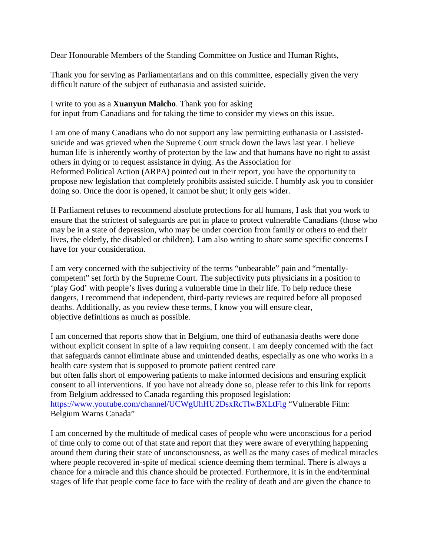Dear Honourable Members of the Standing Committee on Justice and Human Rights,

Thank you for serving as Parliamentarians and on this committee, especially given the very difficult nature of the subject of euthanasia and assisted suicide.

I write to you as a **Xuanyun Malcho**. Thank you for asking for input from Canadians and for taking the time to consider my views on this issue.

I am one of many Canadians who do not support any law permitting euthanasia or Lassistedsuicide and was grieved when the Supreme Court struck down the laws last year. I believe human life is inherently worthy of protecton by the law and that humans have no right to assist others in dying or to request assistance in dying. As the Association for Reformed Political Action (ARPA) pointed out in their report, you have the opportunity to propose new legislation that completely prohibits assisted suicide. I humbly ask you to consider doing so. Once the door is opened, it cannot be shut; it only gets wider.

If Parliament refuses to recommend absolute protections for all humans, I ask that you work to ensure that the strictest of safeguards are put in place to protect vulnerable Canadians (those who may be in a state of depression, who may be under coercion from family or others to end their lives, the elderly, the disabled or children). I am also writing to share some specific concerns I have for your consideration.

I am very concerned with the subjectivity of the terms "unbearable" pain and "mentallycompetent" set forth by the Supreme Court. The subjectivity puts physicians in a position to 'play God' with people's lives during a vulnerable time in their life. To help reduce these dangers, I recommend that independent, third-party reviews are required before all proposed deaths. Additionally, as you review these terms, I know you will ensure clear, objective definitions as much as possible.

I am concerned that reports show that in Belgium, one third of euthanasia deaths were done without explicit consent in spite of a law requiring consent. I am deeply concerned with the fact that safeguards cannot eliminate abuse and unintended deaths, especially as one who works in a health care system that is supposed to promote patient centred care but often falls short of empowering patients to make informed decisions and ensuring explicit consent to all interventions. If you have not already done so, please refer to this link for reports from Belgium addressed to Canada regarding this proposed legislation: <https://www.youtube.com/channel/UCWgUhHU2DsxRcTlwBXLtFig> "Vulnerable Film: Belgium Warns Canada"

I am concerned by the multitude of medical cases of people who were unconscious for a period of time only to come out of that state and report that they were aware of everything happening around them during their state of unconsciousness, as well as the many cases of medical miracles where people recovered in-spite of medical science deeming them terminal. There is always a chance for a miracle and this chance should be protected. Furthermore, it is in the end/terminal stages of life that people come face to face with the reality of death and are given the chance to